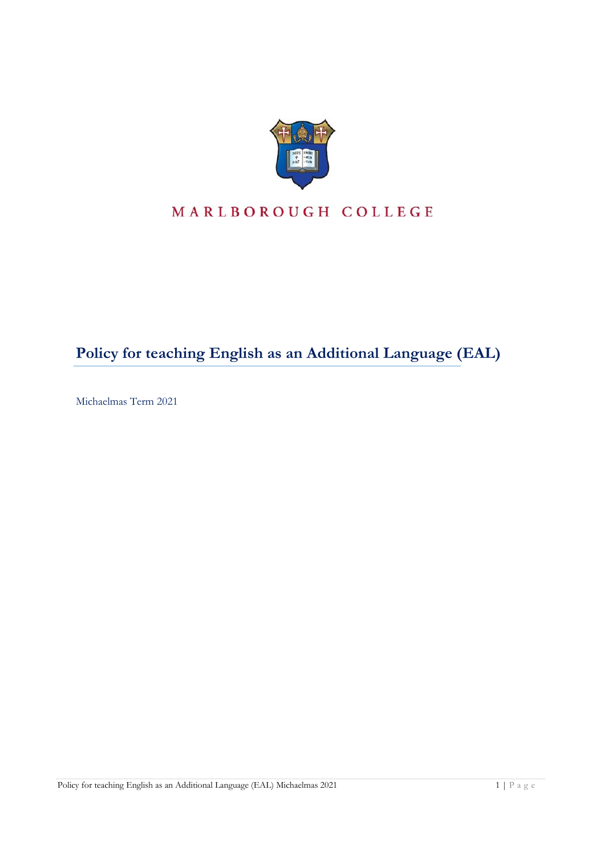

# MARLBOROUGH COLLEGE

# **Policy for teaching English as an Additional Language (EAL)**

Michaelmas Term 2021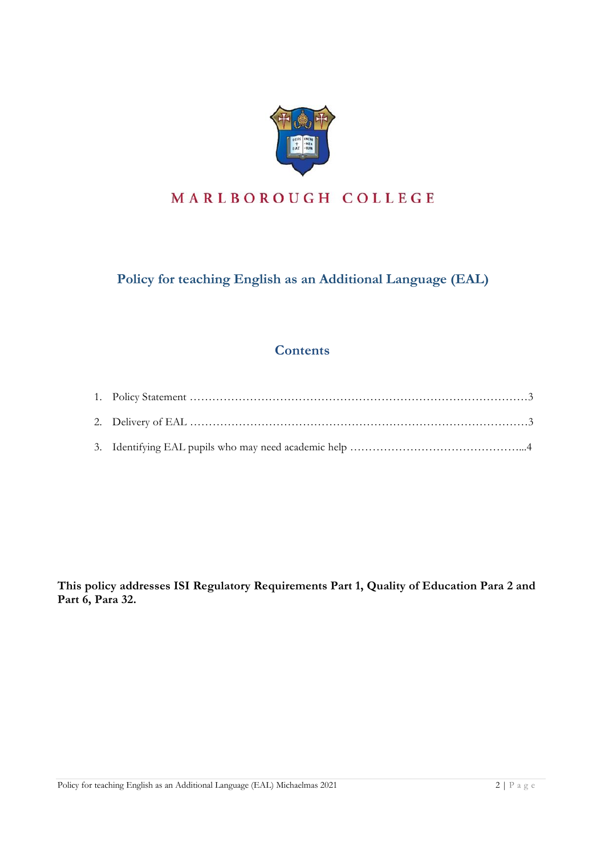

## MARLBOROUGH COLLEGE

### **Policy for teaching English as an Additional Language (EAL)**

### **Contents**

**This policy addresses ISI Regulatory Requirements Part 1, Quality of Education Para 2 and Part 6, Para 32.**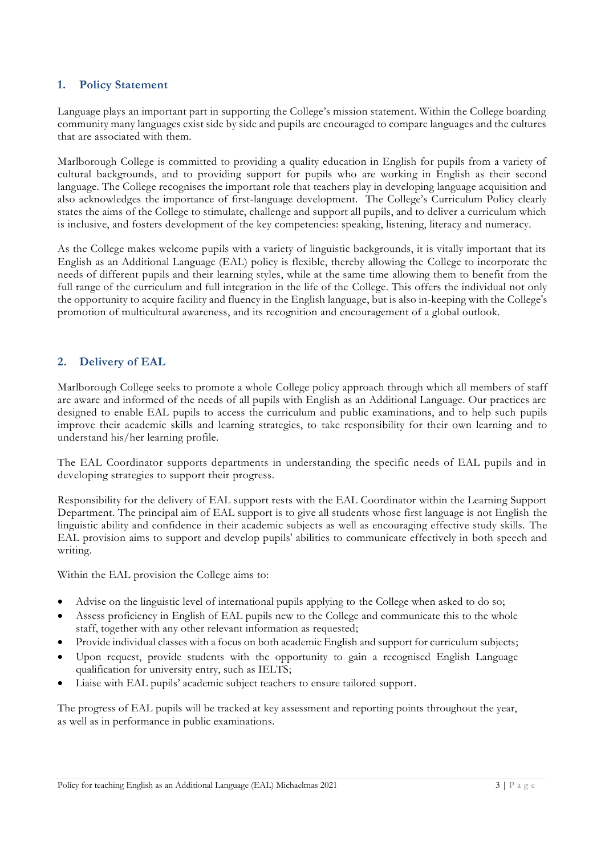#### **1. Policy Statement**

Language plays an important part in supporting the College's mission statement. Within the College boarding community many languages exist side by side and pupils are encouraged to compare languages and the cultures that are associated with them.

Marlborough College is committed to providing a quality education in English for pupils from a variety of cultural backgrounds, and to providing support for pupils who are working in English as their second language. The College recognises the important role that teachers play in developing language acquisition and also acknowledges the importance of first-language development. The College's Curriculum Policy clearly states the aims of the College to stimulate, challenge and support all pupils, and to deliver a curriculum which is inclusive, and fosters development of the key competencies: speaking, listening, literacy and numeracy.

As the College makes welcome pupils with a variety of linguistic backgrounds, it is vitally important that its English as an Additional Language (EAL) policy is flexible, thereby allowing the College to incorporate the needs of different pupils and their learning styles, while at the same time allowing them to benefit from the full range of the curriculum and full integration in the life of the College. This offers the individual not only the opportunity to acquire facility and fluency in the English language, but is also in-keeping with the College's promotion of multicultural awareness, and its recognition and encouragement of a global outlook.

#### **2. Delivery of EAL**

Marlborough College seeks to promote a whole College policy approach through which all members of staff are aware and informed of the needs of all pupils with English as an Additional Language. Our practices are designed to enable EAL pupils to access the curriculum and public examinations, and to help such pupils improve their academic skills and learning strategies, to take responsibility for their own learning and to understand his/her learning profile.

The EAL Coordinator supports departments in understanding the specific needs of EAL pupils and in developing strategies to support their progress.

Responsibility for the delivery of EAL support rests with the EAL Coordinator within the Learning Support Department. The principal aim of EAL support is to give all students whose first language is not English the linguistic ability and confidence in their academic subjects as well as encouraging effective study skills. The EAL provision aims to support and develop pupils' abilities to communicate effectively in both speech and writing.

Within the EAL provision the College aims to:

- Advise on the linguistic level of international pupils applying to the College when asked to do so;
- Assess proficiency in English of EAL pupils new to the College and communicate this to the whole staff, together with any other relevant information as requested;
- Provide individual classes with a focus on both academic English and support for curriculum subjects;
- Upon request, provide students with the opportunity to gain a recognised English Language qualification for university entry, such as IELTS;
- Liaise with EAL pupils' academic subject teachers to ensure tailored support.

The progress of EAL pupils will be tracked at key assessment and reporting points throughout the year, as well as in performance in public examinations.